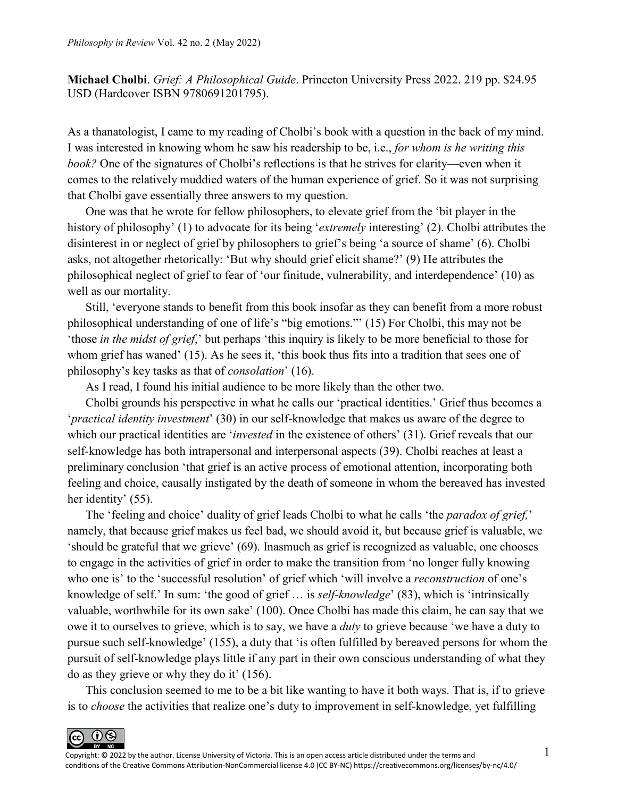**Michael Cholbi**. *Grief: A Philosophical Guide*. Princeton University Press 2022. 219 pp. \$24.95 USD (Hardcover ISBN 9780691201795).

As a thanatologist, I came to my reading of Cholbi's book with a question in the back of my mind. I was interested in knowing whom he saw his readership to be, i.e., *for whom is he writing this book?* One of the signatures of Cholbi's reflections is that he strives for clarity—even when it comes to the relatively muddied waters of the human experience of grief. So it was not surprising that Cholbi gave essentially three answers to my question.

One was that he wrote for fellow philosophers, to elevate grief from the 'bit player in the history of philosophy' (1) to advocate for its being '*extremely* interesting' (2). Cholbi attributes the disinterest in or neglect of grief by philosophers to grief's being 'a source of shame' (6). Cholbi asks, not altogether rhetorically: 'But why should grief elicit shame?' (9) He attributes the philosophical neglect of grief to fear of 'our finitude, vulnerability, and interdependence' (10) as well as our mortality.

Still, 'everyone stands to benefit from this book insofar as they can benefit from a more robust philosophical understanding of one of life's "big emotions."' (15) For Cholbi, this may not be 'those *in the midst of grief*,' but perhaps 'this inquiry is likely to be more beneficial to those for whom grief has waned' (15). As he sees it, 'this book thus fits into a tradition that sees one of philosophy's key tasks as that of *consolation*' (16).

As I read, I found his initial audience to be more likely than the other two.

Cholbi grounds his perspective in what he calls our 'practical identities.' Grief thus becomes a '*practical identity investment*' (30) in our self-knowledge that makes us aware of the degree to which our practical identities are '*invested* in the existence of others' (31). Grief reveals that our self-knowledge has both intrapersonal and interpersonal aspects (39). Cholbi reaches at least a preliminary conclusion 'that grief is an active process of emotional attention, incorporating both feeling and choice, causally instigated by the death of someone in whom the bereaved has invested her identity' (55).

The 'feeling and choice' duality of grief leads Cholbi to what he calls 'the *paradox of grief,*' namely, that because grief makes us feel bad, we should avoid it, but because grief is valuable, we 'should be grateful that we grieve' (69). Inasmuch as grief is recognized as valuable, one chooses to engage in the activities of grief in order to make the transition from 'no longer fully knowing who one is' to the 'successful resolution' of grief which 'will involve a *reconstruction* of one's knowledge of self.' In sum: 'the good of grief … is *self-knowledge*' (83), which is 'intrinsically valuable, worthwhile for its own sake' (100). Once Cholbi has made this claim, he can say that we owe it to ourselves to grieve, which is to say, we have a *duty* to grieve because 'we have a duty to pursue such self-knowledge' (155), a duty that 'is often fulfilled by bereaved persons for whom the pursuit of self-knowledge plays little if any part in their own conscious understanding of what they do as they grieve or why they do it' (156).

This conclusion seemed to me to be a bit like wanting to have it both ways. That is, if to grieve is to *choose* the activities that realize one's duty to improvement in self-knowledge, yet fulfilling

 $\odot$   $\odot$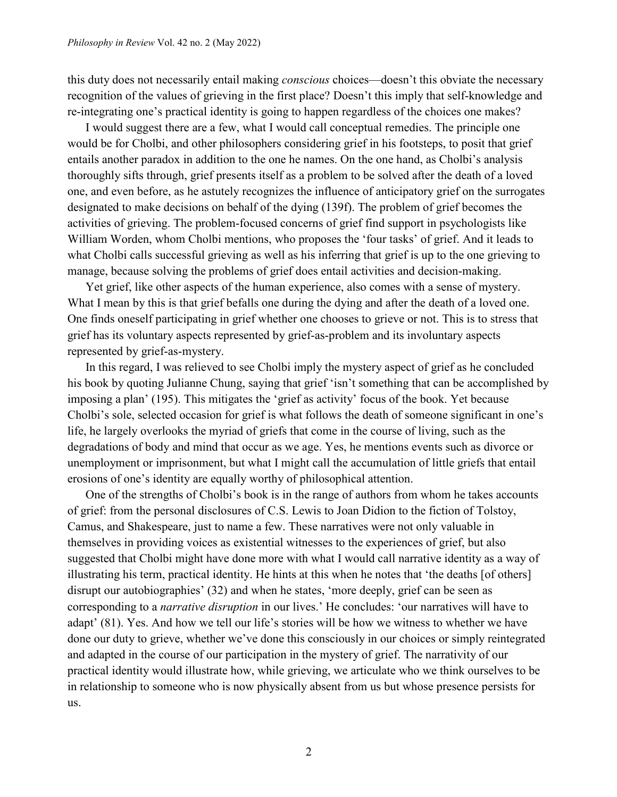this duty does not necessarily entail making *conscious* choices—doesn't this obviate the necessary recognition of the values of grieving in the first place? Doesn't this imply that self-knowledge and re-integrating one's practical identity is going to happen regardless of the choices one makes?

I would suggest there are a few, what I would call conceptual remedies. The principle one would be for Cholbi, and other philosophers considering grief in his footsteps, to posit that grief entails another paradox in addition to the one he names. On the one hand, as Cholbi's analysis thoroughly sifts through, grief presents itself as a problem to be solved after the death of a loved one, and even before, as he astutely recognizes the influence of anticipatory grief on the surrogates designated to make decisions on behalf of the dying (139f). The problem of grief becomes the activities of grieving. The problem-focused concerns of grief find support in psychologists like William Worden, whom Cholbi mentions, who proposes the 'four tasks' of grief. And it leads to what Cholbi calls successful grieving as well as his inferring that grief is up to the one grieving to manage, because solving the problems of grief does entail activities and decision-making.

Yet grief, like other aspects of the human experience, also comes with a sense of mystery. What I mean by this is that grief befalls one during the dying and after the death of a loved one. One finds oneself participating in grief whether one chooses to grieve or not. This is to stress that grief has its voluntary aspects represented by grief-as-problem and its involuntary aspects represented by grief-as-mystery.

In this regard, I was relieved to see Cholbi imply the mystery aspect of grief as he concluded his book by quoting Julianne Chung, saying that grief 'isn't something that can be accomplished by imposing a plan' (195). This mitigates the 'grief as activity' focus of the book. Yet because Cholbi's sole, selected occasion for grief is what follows the death of someone significant in one's life, he largely overlooks the myriad of griefs that come in the course of living, such as the degradations of body and mind that occur as we age. Yes, he mentions events such as divorce or unemployment or imprisonment, but what I might call the accumulation of little griefs that entail erosions of one's identity are equally worthy of philosophical attention.

One of the strengths of Cholbi's book is in the range of authors from whom he takes accounts of grief: from the personal disclosures of C.S. Lewis to Joan Didion to the fiction of Tolstoy, Camus, and Shakespeare, just to name a few. These narratives were not only valuable in themselves in providing voices as existential witnesses to the experiences of grief, but also suggested that Cholbi might have done more with what I would call narrative identity as a way of illustrating his term, practical identity. He hints at this when he notes that 'the deaths [of others] disrupt our autobiographies' (32) and when he states, 'more deeply, grief can be seen as corresponding to a *narrative disruption* in our lives.' He concludes: 'our narratives will have to adapt' (81). Yes. And how we tell our life's stories will be how we witness to whether we have done our duty to grieve, whether we've done this consciously in our choices or simply reintegrated and adapted in the course of our participation in the mystery of grief. The narrativity of our practical identity would illustrate how, while grieving, we articulate who we think ourselves to be in relationship to someone who is now physically absent from us but whose presence persists for us.